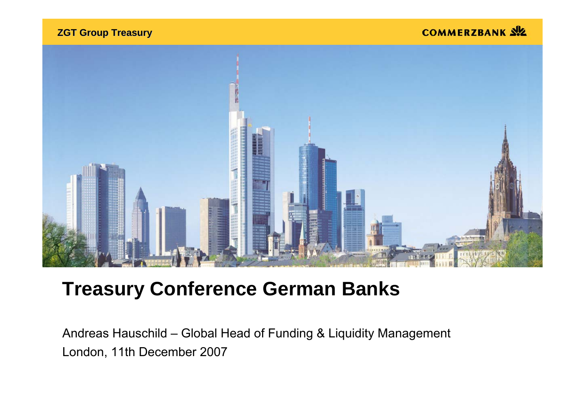**ZGT Group Treasury ZGT Group Treasury**

COMMERZBANK SIZ



# **Treasury Conference German Banks**

Andreas Hauschild – Global Head of Funding & Liquidity Management London, 11th December 2007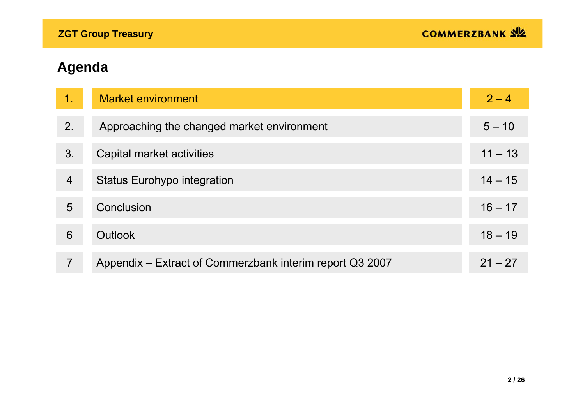| 1.             | <b>Market environment</b>                                | $2 - 4$   |
|----------------|----------------------------------------------------------|-----------|
| 2.             | Approaching the changed market environment               | $5 - 10$  |
| 3.             | Capital market activities                                | $11 - 13$ |
| $\overline{4}$ | <b>Status Eurohypo integration</b>                       | $14 - 15$ |
| 5              | Conclusion                                               | $16 - 17$ |
| 6              | Outlook                                                  | $18 - 19$ |
| 7              | Appendix – Extract of Commerzbank interim report Q3 2007 | $21 - 27$ |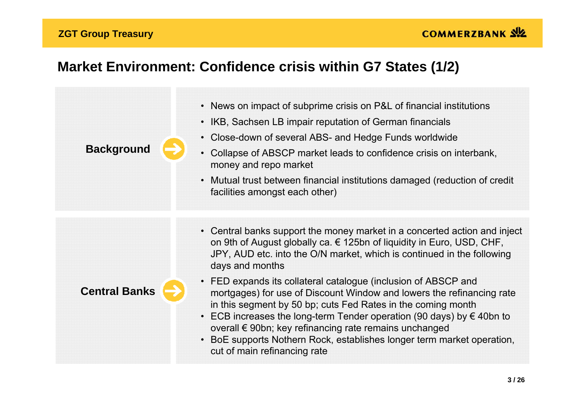#### **ZGT Group Treasury**

# **Market Environment: Confidence crisis within G7 States (1/2)**

| <b>Background</b>    | • News on impact of subprime crisis on P&L of financial institutions<br>• IKB, Sachsen LB impair reputation of German financials<br>Close-down of several ABS- and Hedge Funds worldwide<br>$\bullet$<br>Collapse of ABSCP market leads to confidence crisis on interbank,<br>$\bullet$<br>money and repo market<br>• Mutual trust between financial institutions damaged (reduction of credit<br>facilities amongst each other)                                                    |
|----------------------|-------------------------------------------------------------------------------------------------------------------------------------------------------------------------------------------------------------------------------------------------------------------------------------------------------------------------------------------------------------------------------------------------------------------------------------------------------------------------------------|
|                      | • Central banks support the money market in a concerted action and inject<br>on 9th of August globally ca. $\epsilon$ 125bn of liquidity in Euro, USD, CHF,<br>JPY, AUD etc. into the O/N market, which is continued in the following<br>days and months                                                                                                                                                                                                                            |
| <b>Central Banks</b> | • FED expands its collateral catalogue (inclusion of ABSCP and<br>mortgages) for use of Discount Window and lowers the refinancing rate<br>in this segment by 50 bp; cuts Fed Rates in the coming month<br>ECB increases the long-term Tender operation (90 days) by $\epsilon$ 40bn to<br>$\bullet$<br>overall € 90bn; key refinancing rate remains unchanged<br>BoE supports Nothern Rock, establishes longer term market operation,<br>$\bullet$<br>cut of main refinancing rate |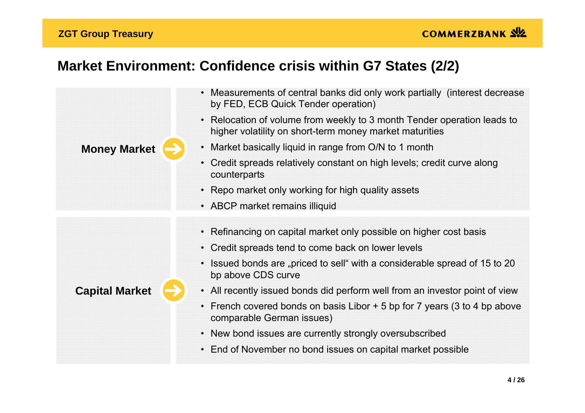#### **ZGT Group Treasury**

# **Market Environment: Confidence crisis within G7 States (2/2)**

|                       | Measurements of central banks did only work partially (interest decrease<br>$\bullet$<br>by FED, ECB Quick Tender operation)                  |
|-----------------------|-----------------------------------------------------------------------------------------------------------------------------------------------|
|                       | Relocation of volume from weekly to 3 month Tender operation leads to<br>$\bullet$<br>higher volatility on short-term money market maturities |
| <b>Money Market</b>   | • Market basically liquid in range from O/N to 1 month                                                                                        |
|                       | Credit spreads relatively constant on high levels; credit curve along<br>counterparts                                                         |
|                       | • Repo market only working for high quality assets                                                                                            |
|                       | • ABCP market remains illiquid                                                                                                                |
|                       |                                                                                                                                               |
|                       | • Refinancing on capital market only possible on higher cost basis                                                                            |
|                       | • Credit spreads tend to come back on lower levels                                                                                            |
|                       | Issued bonds are "priced to sell" with a considerable spread of 15 to 20<br>$\bullet$<br>bp above CDS curve                                   |
| <b>Capital Market</b> | • All recently issued bonds did perform well from an investor point of view                                                                   |
|                       | French covered bonds on basis Libor + 5 bp for 7 years (3 to 4 bp above<br>$\bullet$<br>comparable German issues)                             |
|                       | • New bond issues are currently strongly oversubscribed                                                                                       |
|                       | • End of November no bond issues on capital market possible                                                                                   |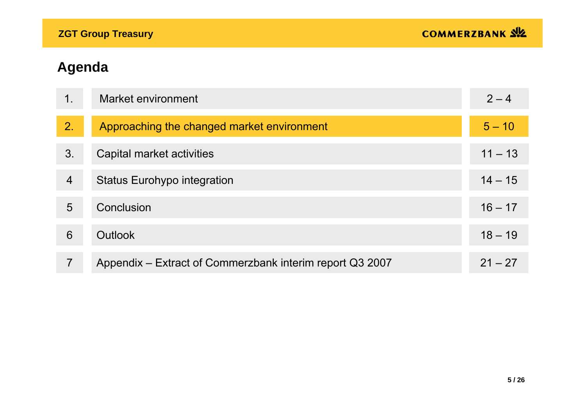| 1.             | Market environment                                       | $2 - 4$   |
|----------------|----------------------------------------------------------|-----------|
| 2.             | Approaching the changed market environment               | $5 - 10$  |
| 3.             | Capital market activities                                | $11 - 13$ |
| $\overline{4}$ | <b>Status Eurohypo integration</b>                       | $14 - 15$ |
| 5              | Conclusion                                               | $16 - 17$ |
| 6              | <b>Outlook</b>                                           | $18 - 19$ |
| 7              | Appendix – Extract of Commerzbank interim report Q3 2007 | $21 - 27$ |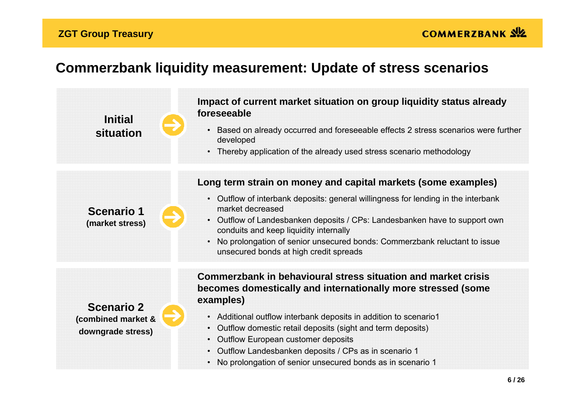#### **ZGT Group Treasury**

## **Commerzbank liquidity measurement: Update of stress scenarios**

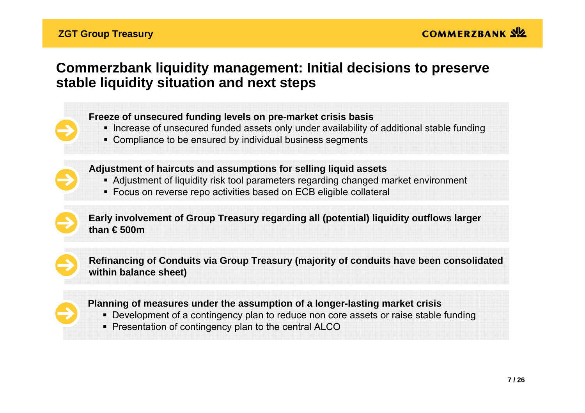## **Commerzbank liquidity management: Initial decisions to preserve stable liquidity situation and next steps**

#### **Freeze of unsecured funding levels on pre-market crisis basis**

- **Increase of unsecured funded assets only under availability of additional stable funding**
- Compliance to be ensured by individual business segments



#### **Adjustment of haircuts and assumptions for selling liquid assets**

- Adjustment of liquidity risk tool parameters regarding changed market environment
- Focus on reverse repo activities based on ECB eligible collateral



**Early involvement of Group Treasury regarding all (potential) liquidity outflows larger than € 500m** 



**Refinancing of Conduits via Group Treasury (majority of conduits have been consolidated within balance sheet)**



#### **Planning of measures under the assumption of a longer-lasting market crisis**

- Development of a contingency plan to reduce non core assets or raise stable funding
- Presentation of contingency plan to the central ALCO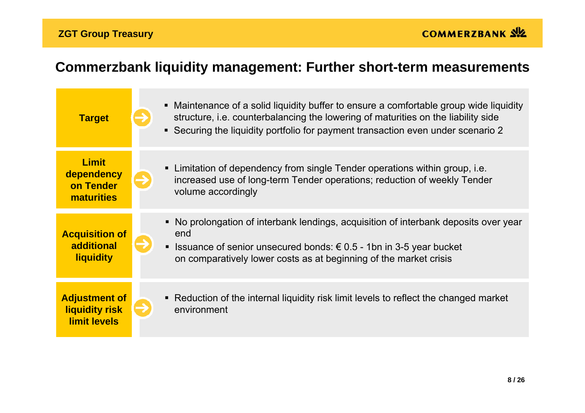# **Commerzbank liquidity management: Further short-term measurements**

| <b>Target</b>                                                 | • Maintenance of a solid liquidity buffer to ensure a comfortable group wide liquidity<br>structure, i.e. counterbalancing the lowering of maturities on the liability side<br>■ Securing the liquidity portfolio for payment transaction even under scenario 2 |
|---------------------------------------------------------------|-----------------------------------------------------------------------------------------------------------------------------------------------------------------------------------------------------------------------------------------------------------------|
| <b>Limit</b><br>dependency<br>on Tender<br><b>maturities</b>  | Limitation of dependency from single Tender operations within group, i.e.<br>$\blacksquare$<br>increased use of long-term Tender operations; reduction of weekly Tender<br>volume accordingly                                                                   |
| <b>Acquisition of</b><br>additional<br><b>liquidity</b>       | • No prolongation of interbank lendings, acquisition of interbank deposits over year<br>end<br>Issuance of senior unsecured bonds: $€ 0.5 - 1$ bn in 3-5 year bucket<br>Ξ<br>on comparatively lower costs as at beginning of the market crisis                  |
| <b>Adjustment of</b><br>liquidity risk<br><b>limit levels</b> | • Reduction of the internal liquidity risk limit levels to reflect the changed market<br>environment                                                                                                                                                            |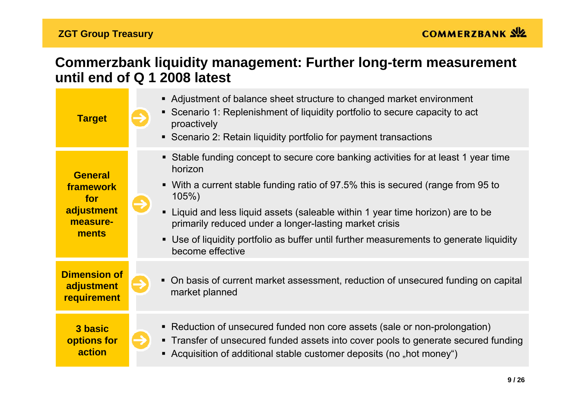### **Commerzbank liquidity management: Further long-term measurement until end of Q 1 2008 latest**

| <b>Target</b>                                                         | • Adjustment of balance sheet structure to changed market environment<br>• Scenario 1: Replenishment of liquidity portfolio to secure capacity to act<br>proactively<br>• Scenario 2: Retain liquidity portfolio for payment transactions                                                                                                                                                                                                              |
|-----------------------------------------------------------------------|--------------------------------------------------------------------------------------------------------------------------------------------------------------------------------------------------------------------------------------------------------------------------------------------------------------------------------------------------------------------------------------------------------------------------------------------------------|
| <b>General</b><br>framework<br>for<br>adjustment<br>measure-<br>ments | • Stable funding concept to secure core banking activities for at least 1 year time<br>horizon<br>• With a current stable funding ratio of 97.5% this is secured (range from 95 to<br>105%<br>• Liquid and less liquid assets (saleable within 1 year time horizon) are to be<br>primarily reduced under a longer-lasting market crisis<br>• Use of liquidity portfolio as buffer until further measurements to generate liquidity<br>become effective |
| <b>Dimension of</b><br>adjustment<br>requirement                      | • On basis of current market assessment, reduction of unsecured funding on capital<br>market planned                                                                                                                                                                                                                                                                                                                                                   |
| 3 basic<br>options for<br>action                                      | • Reduction of unsecured funded non core assets (sale or non-prolongation)<br>• Transfer of unsecured funded assets into cover pools to generate secured funding<br>• Acquisition of additional stable customer deposits (no "hot money")                                                                                                                                                                                                              |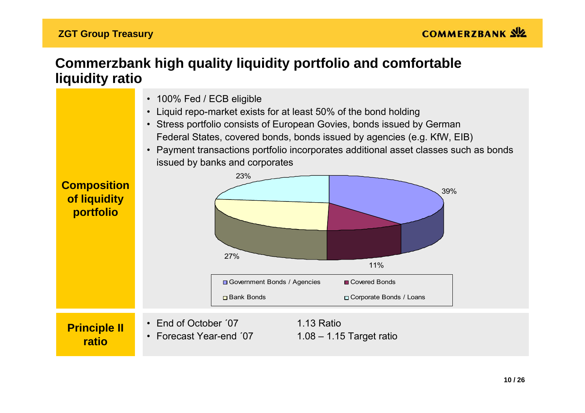### **Commerzbank high quality liquidity portfolio and comfortable liquidity ratio**

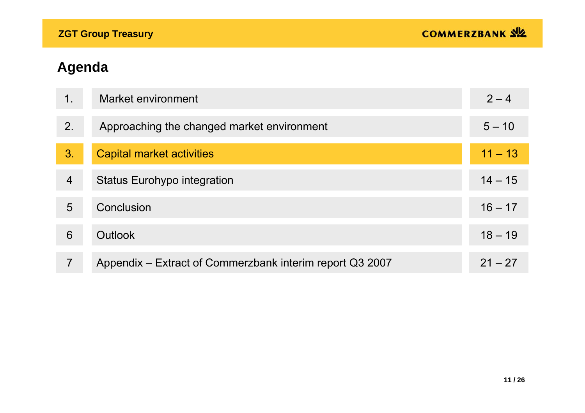| 1.             | Market environment                                       | $2 - 4$   |
|----------------|----------------------------------------------------------|-----------|
| 2.             | Approaching the changed market environment               | $5 - 10$  |
| 3.             | Capital market activities                                | $11 - 13$ |
| $\overline{4}$ | <b>Status Eurohypo integration</b>                       | $14 - 15$ |
| 5              | Conclusion                                               | $16 - 17$ |
| 6              | <b>Outlook</b>                                           | $18 - 19$ |
| 7              | Appendix – Extract of Commerzbank interim report Q3 2007 | $21 - 27$ |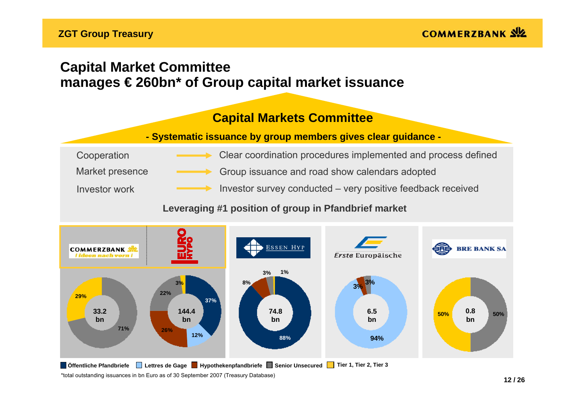## **Capital Market Committee manages € 260bn\* of Group capital market issuance**

### **Capital Markets Committee**

#### **Capital Markets Committee - Systematic issuance by group members gives clear guidance -**

| Cooperation     | Clear coordination procedures implemented and process defined |
|-----------------|---------------------------------------------------------------|
| Market presence | Group issuance and road show calendars adopted                |
| Investor work   | Investor survey conducted – very positive feedback received   |

#### **Leveraging #1 position of group in Pfandbrief market**



\*total outstanding issuances in bn Euro as of 30 September 2007 (Treasury Database) **Öffentliche Pfandbriefe Lettres de Gage Hypothekenpfandbriefe Senior Unsecured Tier 1, Tier 2, Tier 3**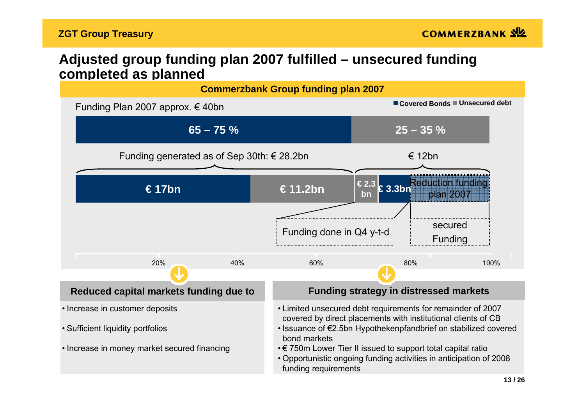### **Adjusted group funding plan 2007 fulfilled – unsecured funding completed as planned**

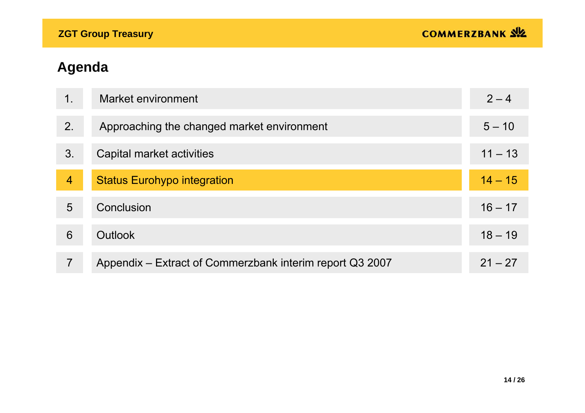| 1.             | Market environment                                       | $2 - 4$   |
|----------------|----------------------------------------------------------|-----------|
| 2.             | Approaching the changed market environment               | $5 - 10$  |
| 3.             | Capital market activities                                | $11 - 13$ |
| $\overline{4}$ | <b>Status Eurohypo integration</b>                       | $14 - 15$ |
| 5              | Conclusion                                               | $16 - 17$ |
| 6              | <b>Outlook</b>                                           | $18 - 19$ |
| 7              | Appendix – Extract of Commerzbank interim report Q3 2007 | $21 - 27$ |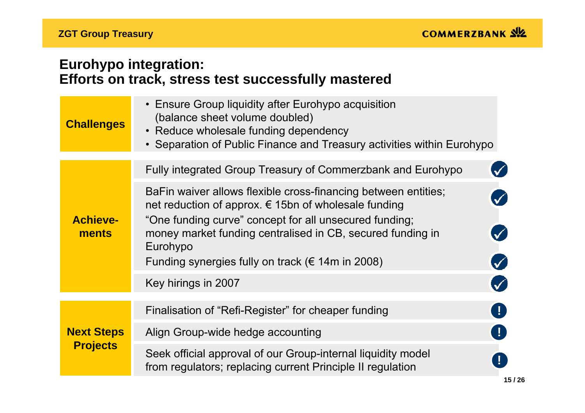## **Eurohypo integration: Efforts on track, stress test successfully mastered**

| <b>Challenges</b>        | • Ensure Group liquidity after Eurohypo acquisition<br>(balance sheet volume doubled)<br>• Reduce wholesale funding dependency<br>• Separation of Public Finance and Treasury activities within Eurohypo                                                                                                                               |
|--------------------------|----------------------------------------------------------------------------------------------------------------------------------------------------------------------------------------------------------------------------------------------------------------------------------------------------------------------------------------|
|                          | Fully integrated Group Treasury of Commerzbank and Eurohypo                                                                                                                                                                                                                                                                            |
| <b>Achieve-</b><br>ments | BaFin waiver allows flexible cross-financing between entities;<br>net reduction of approx. $\epsilon$ 15bn of wholesale funding<br>"One funding curve" concept for all unsecured funding;<br>money market funding centralised in CB, secured funding in<br>Eurohypo<br>Ø<br>Funding synergies fully on track ( $\epsilon$ 14m in 2008) |
|                          | Key hirings in 2007                                                                                                                                                                                                                                                                                                                    |
|                          | O<br>Finalisation of "Refi-Register" for cheaper funding                                                                                                                                                                                                                                                                               |
| <b>Next Steps</b>        | $\left  \right $<br>Align Group-wide hedge accounting                                                                                                                                                                                                                                                                                  |
| <b>Projects</b>          | Seek official approval of our Group-internal liquidity model<br>from regulators; replacing current Principle II regulation                                                                                                                                                                                                             |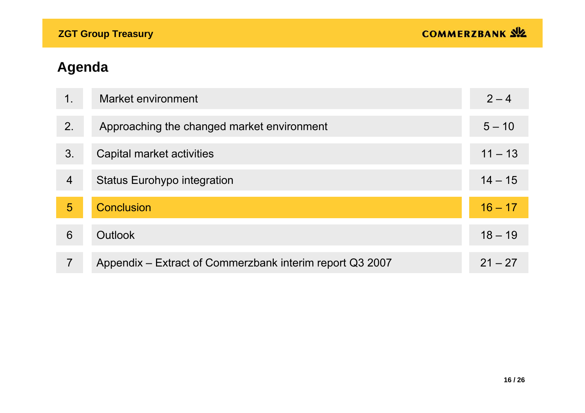| $\mathbf 1$ .  | Market environment                                       | $2 - 4$   |
|----------------|----------------------------------------------------------|-----------|
| 2.             | Approaching the changed market environment               | $5 - 10$  |
| 3.             | Capital market activities                                | $11 - 13$ |
| $\overline{4}$ | <b>Status Eurohypo integration</b>                       | $14 - 15$ |
| 5              | <b>Conclusion</b>                                        | $16 - 17$ |
| 6              | <b>Outlook</b>                                           | $18 - 19$ |
| 7              | Appendix – Extract of Commerzbank interim report Q3 2007 | $21 - 27$ |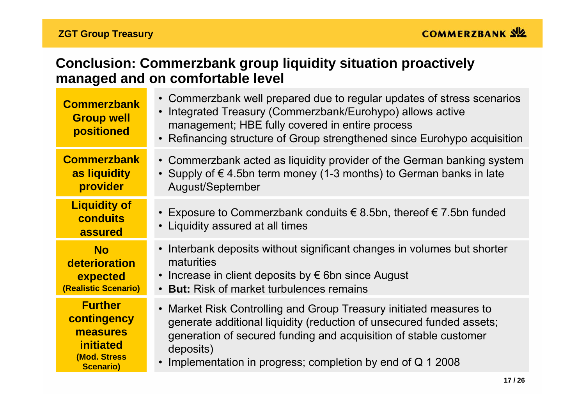## **Conclusion: Commerzbank group liquidity situation proactively managed and on comfortable level**

| <b>Commerzbank</b><br><b>Group well</b><br>positioned | • Commerzbank well prepared due to regular updates of stress scenarios<br>Integrated Treasury (Commerzbank/Eurohypo) allows active<br>$\bullet$<br>management; HBE fully covered in entire process<br>• Refinancing structure of Group strengthened since Eurohypo acquisition |
|-------------------------------------------------------|--------------------------------------------------------------------------------------------------------------------------------------------------------------------------------------------------------------------------------------------------------------------------------|
| <b>Commerzbank</b>                                    | • Commerzbank acted as liquidity provider of the German banking system                                                                                                                                                                                                         |
| as liquidity                                          | • Supply of $\epsilon$ 4.5bn term money (1-3 months) to German banks in late                                                                                                                                                                                                   |
| provider                                              | August/September                                                                                                                                                                                                                                                               |
| <b>Liquidity of</b><br><b>conduits</b><br>assured     | • Exposure to Commerzbank conduits $∈$ 8.5bn, thereof $∈$ 7.5bn funded<br>• Liquidity assured at all times                                                                                                                                                                     |
| <b>No</b>                                             | • Interbank deposits without significant changes in volumes but shorter                                                                                                                                                                                                        |
| deterioration                                         | maturities                                                                                                                                                                                                                                                                     |
| expected                                              | • Increase in client deposits by $\epsilon$ 6bn since August                                                                                                                                                                                                                   |
| (Realistic Scenario)                                  | <b>But:</b> Risk of market turbulences remains                                                                                                                                                                                                                                 |
| <b>Further</b>                                        | • Market Risk Controlling and Group Treasury initiated measures to                                                                                                                                                                                                             |
| contingency                                           | generate additional liquidity (reduction of unsecured funded assets;                                                                                                                                                                                                           |
| measures                                              | generation of secured funding and acquisition of stable customer                                                                                                                                                                                                               |
| <i>initiated</i>                                      | deposits)                                                                                                                                                                                                                                                                      |
| (Mod. Stress                                          | Implementation in progress; completion by end of Q 1 2008                                                                                                                                                                                                                      |
| <b>Scenario)</b>                                      | $\bullet$                                                                                                                                                                                                                                                                      |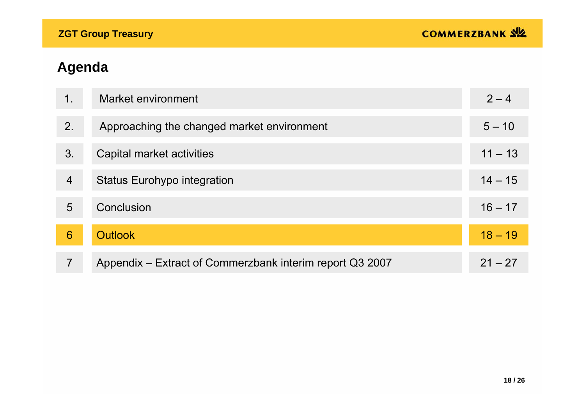| $\mathbf 1$ .  | Market environment                                       | $2 - 4$   |
|----------------|----------------------------------------------------------|-----------|
| 2.             | Approaching the changed market environment               | $5 - 10$  |
| 3.             | Capital market activities                                | $11 - 13$ |
| $\overline{4}$ | <b>Status Eurohypo integration</b>                       | $14 - 15$ |
| 5              | <b>Conclusion</b>                                        | $16 - 17$ |
| 6              | <b>Outlook</b>                                           | $18 - 19$ |
| 7              | Appendix – Extract of Commerzbank interim report Q3 2007 | $21 - 27$ |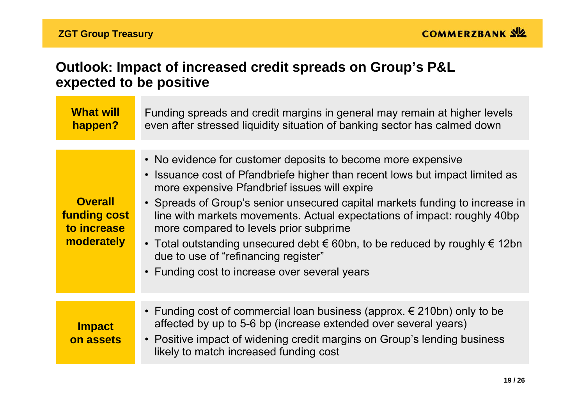## **Outlook: Impact of increased credit spreads on Group's P&L expected to be positive**

| <b>What will</b><br>happen?                                        | Funding spreads and credit margins in general may remain at higher levels<br>even after stressed liquidity situation of banking sector has calmed down                                                                                                                                                                                                                                                                                                                                                                                                                                      |
|--------------------------------------------------------------------|---------------------------------------------------------------------------------------------------------------------------------------------------------------------------------------------------------------------------------------------------------------------------------------------------------------------------------------------------------------------------------------------------------------------------------------------------------------------------------------------------------------------------------------------------------------------------------------------|
| <b>Overall</b><br><b>funding cost</b><br>to increase<br>moderately | • No evidence for customer deposits to become more expensive<br>• Issuance cost of Pfandbriefe higher than recent lows but impact limited as<br>more expensive Pfandbrief issues will expire<br>• Spreads of Group's senior unsecured capital markets funding to increase in<br>line with markets movements. Actual expectations of impact: roughly 40bp<br>more compared to levels prior subprime<br>• Total outstanding unsecured debt $\epsilon$ 60bn, to be reduced by roughly $\epsilon$ 12bn<br>due to use of "refinancing register"<br>• Funding cost to increase over several years |
| <b>Impact</b><br>on assets                                         | • Funding cost of commercial loan business (approx. $\epsilon$ 210bn) only to be<br>affected by up to 5-6 bp (increase extended over several years)<br>• Positive impact of widening credit margins on Group's lending business<br>likely to match increased funding cost                                                                                                                                                                                                                                                                                                                   |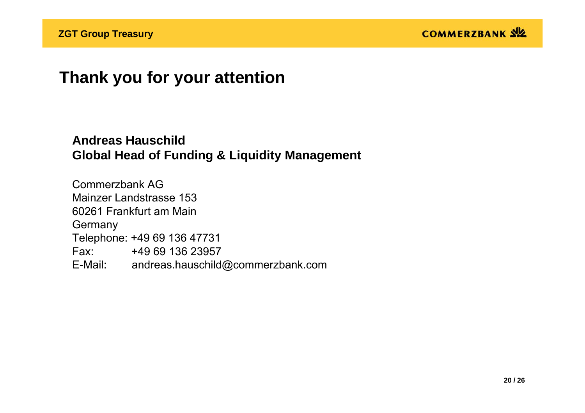# **Thank you for your attention**

### **Andreas HauschildGlobal Head of Funding & Liquidity Management**

Commerzbank AGMainzer Landstrasse 15360261 Frankfurt am Main**Germany** Telephone: +49 69 136 47731 Fax: +49 69 136 23957E-Mail: andreas.hauschild@commerzbank.com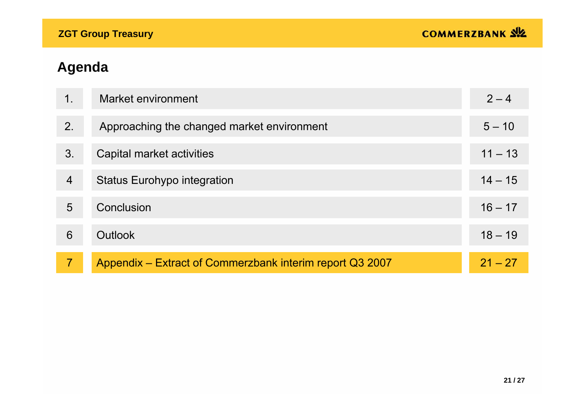| 1.             | Market environment                                       | $2 - 4$   |
|----------------|----------------------------------------------------------|-----------|
| 2.             | Approaching the changed market environment               | $5 - 10$  |
| 3.             | Capital market activities                                | $11 - 13$ |
| $\overline{4}$ | <b>Status Eurohypo integration</b>                       | $14 - 15$ |
| 5              | Conclusion                                               | $16 - 17$ |
| 6              | Outlook                                                  | $18 - 19$ |
| $\overline{7}$ | Appendix – Extract of Commerzbank interim report Q3 2007 | $21 - 27$ |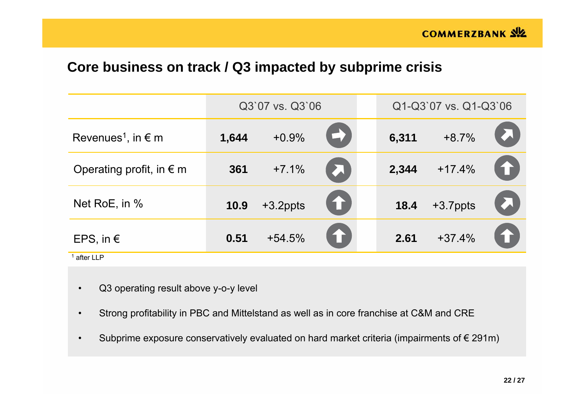### **Core business on track / Q3 impacted by subprime crisis**

|                                         | Q3`07 vs. Q3`06 |          |           |       | Q1-Q3`07 vs. Q1-Q3`06 |           |
|-----------------------------------------|-----------------|----------|-----------|-------|-----------------------|-----------|
| Revenues <sup>1</sup> , in $\epsilon$ m | 1,644           | $+0.9%$  | 57        | 6,311 | $+8.7%$               |           |
| Operating profit, in $\epsilon$ m       | 361             | $+7.1%$  | <b>A</b>  | 2,344 | $+17.4%$              | <b>A</b>  |
| Net RoE, in %                           | 10.9            | +3.2ppts | <b>AT</b> | 18.4  | +3.7ppts              |           |
| EPS, in $\epsilon$                      | 0.51            | $+54.5%$ | 1         | 2.61  | $+37.4%$              | <b>ET</b> |
| $1$ after LLP                           |                 |          |           |       |                       |           |

- •Q3 operating result above y-o-y level
- $\bullet$ Strong profitability in PBC and Mittelstand as well as in core franchise at C&M and CRE
- •Subprime exposure conservatively evaluated on hard market criteria (impairments of  $\epsilon$  291m)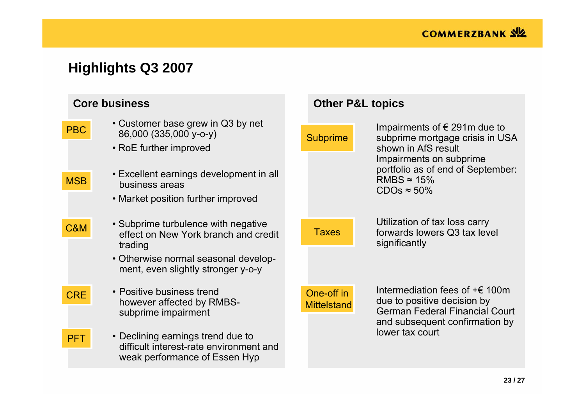# **Highlights Q3 2007**

| <b>Core business</b>     |                                                                                                                                                                                          | <b>Other P&amp;L topics</b>      |                                                                                                                                                                                                              |  |  |
|--------------------------|------------------------------------------------------------------------------------------------------------------------------------------------------------------------------------------|----------------------------------|--------------------------------------------------------------------------------------------------------------------------------------------------------------------------------------------------------------|--|--|
| <b>PBC</b><br><b>MSB</b> | • Customer base grew in Q3 by net<br>86,000 (335,000 y-o-y)<br>• RoE further improved<br>• Excellent earnings development in all<br>business areas<br>• Market position further improved | <b>Subprime</b>                  | Impairments of $\epsilon$ 291m due to<br>subprime mortgage crisis in USA<br>shown in AfS result<br>Impairments on subprime<br>portfolio as of end of September:<br>RMBS $\approx$ 15%<br>$CDOs \approx 50\%$ |  |  |
| <b>C&amp;M</b>           | • Subprime turbulence with negative<br>effect on New York branch and credit<br>trading<br>• Otherwise normal seasonal develop-<br>ment, even slightly stronger y-o-y                     | <b>Taxes</b>                     | Utilization of tax loss carry<br>forwards lowers Q3 tax level<br>significantly                                                                                                                               |  |  |
| <b>CRE</b>               | • Positive business trend<br>however affected by RMBS-<br>subprime impairment                                                                                                            | One-off in<br><b>Mittelstand</b> | Intermediation fees of $\pm \in 100$ m<br>due to positive decision by<br><b>German Federal Financial Court</b><br>and subsequent confirmation by                                                             |  |  |
| <b>PFT</b>               | • Declining earnings trend due to<br>difficult interest-rate environment and<br>weak performance of Essen Hyp                                                                            |                                  | lower tax court                                                                                                                                                                                              |  |  |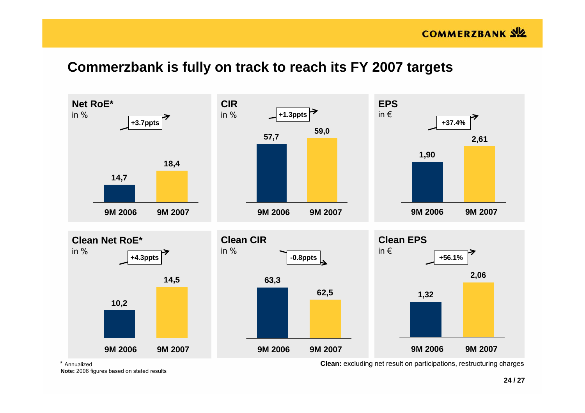### **Commerzbank is fully on track to reach its FY 2007 targets**



\* Annualized

**Note:** 2006 figures based on stated results

**Clean:** excluding net result on participations, restructuring charges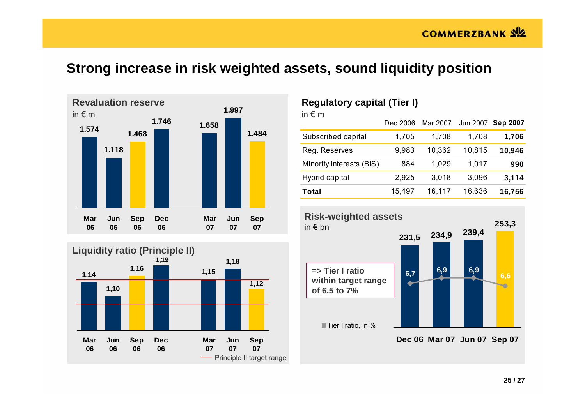## **Strong increase in risk weighted assets, sound liquidity position**





#### **Regulatory capital (Tier I)**

| in $\epsilon$ m          |          |          |        |                   |
|--------------------------|----------|----------|--------|-------------------|
|                          | Dec 2006 | Mar 2007 |        | Jun 2007 Sep 2007 |
| Subscribed capital       | 1,705    | 1,708    | 1,708  | 1,706             |
| Reg. Reserves            | 9,983    | 10,362   | 10,815 | 10,946            |
| Minority interests (BIS) | 884      | 1,029    | 1,017  | 990               |
| Hybrid capital           | 2,925    | 3,018    | 3,096  | 3,114             |
| Total                    | 15,497   | 16,117   | 16,636 | 16,756            |



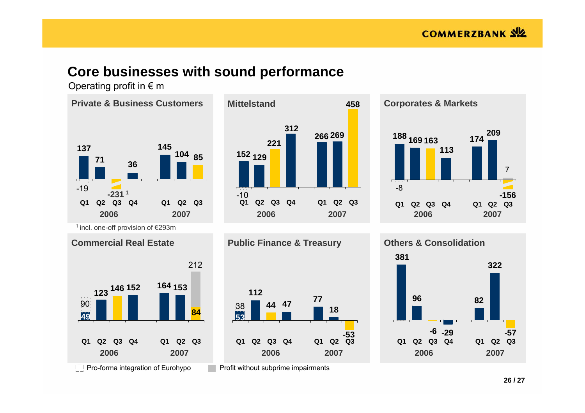### **Core businesses with sound performance**

Operating profit in  $\epsilon$  m







 $\vert$ <sup>-</sup> $\vert$  Pro-forma integration of Eurohypo

Profit without subprime impairments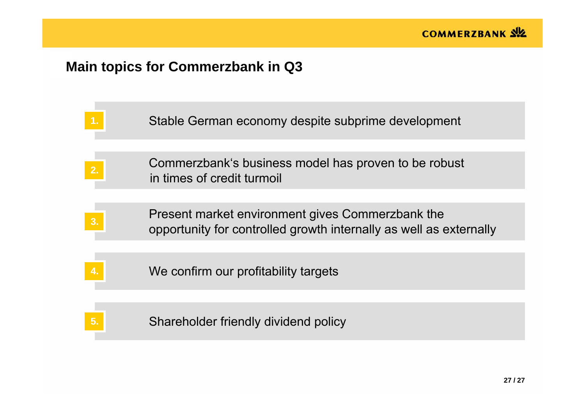# **Main topics for Commerzbank in Q3**

|                | Stable German economy despite subprime development                                                                     |
|----------------|------------------------------------------------------------------------------------------------------------------------|
| 2.             | Commerzbank's business model has proven to be robust<br>in times of credit turmoil                                     |
| 3 <sub>l</sub> | Present market environment gives Commerzbank the<br>opportunity for controlled growth internally as well as externally |
|                | We confirm our profitability targets                                                                                   |
|                | Shareholder friendly dividend policy                                                                                   |